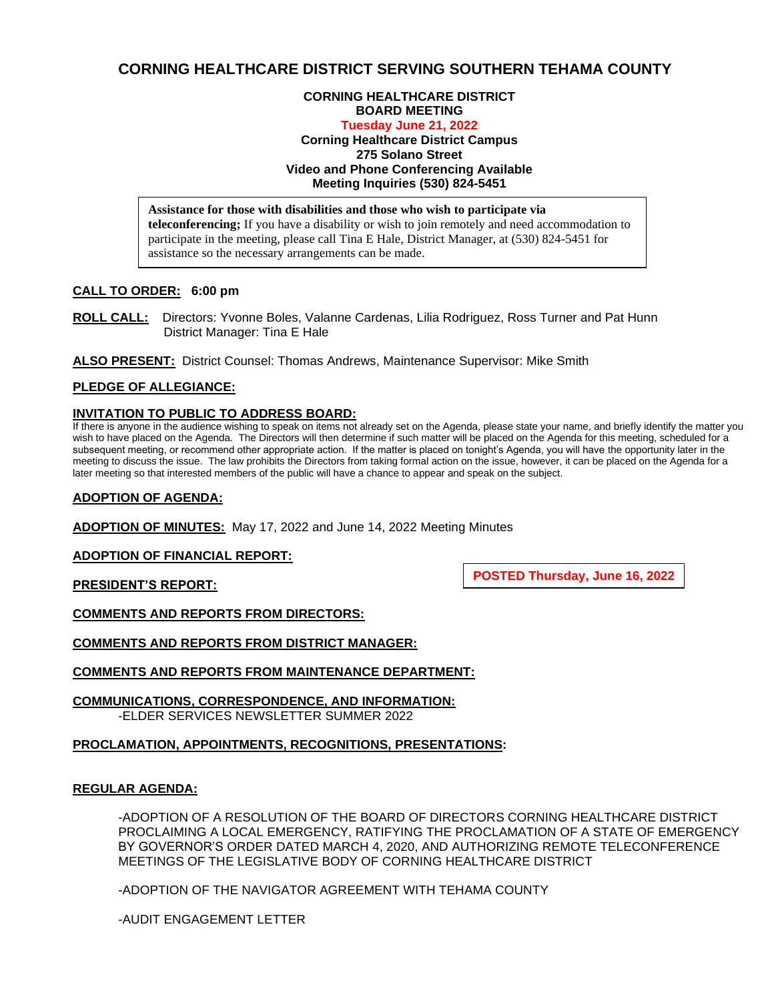# **CORNING HEALTHCARE DISTRICT SERVING SOUTHERN TEHAMA COUNTY**

# **CORNING HEALTHCARE DISTRICT BOARD MEETING**

# **Tuesday June 21, 2022**

**Corning Healthcare District Campus 275 Solano Street Video and Phone Conferencing Available Meeting Inquiries (530) 824-5451**

**Assistance for those with disabilities and those who wish to participate via teleconferencing;** If you have a disability or wish to join remotely and need accommodation to participate in the meeting, please call Tina E Hale, District Manager, at (530) 824-5451 for assistance so the necessary arrangements can be made.

# **CALL TO ORDER: 6:00 pm**

**ROLL CALL:** Directors: Yvonne Boles, Valanne Cardenas, Lilia Rodriguez, Ross Turner and Pat Hunn District Manager: Tina E Hale

**ALSO PRESENT:** District Counsel: Thomas Andrews, Maintenance Supervisor: Mike Smith

# **PLEDGE OF ALLEGIANCE:**

# **INVITATION TO PUBLIC TO ADDRESS BOARD:**

If there is anyone in the audience wishing to speak on items not already set on the Agenda, please state your name, and briefly identify the matter you wish to have placed on the Agenda. The Directors will then determine if such matter will be placed on the Agenda for this meeting, scheduled for a subsequent meeting, or recommend other appropriate action. If the matter is placed on tonight's Agenda, you will have the opportunity later in the meeting to discuss the issue. The law prohibits the Directors from taking formal action on the issue, however, it can be placed on the Agenda for a later meeting so that interested members of the public will have a chance to appear and speak on the subject.

#### **ADOPTION OF AGENDA:**

**ADOPTION OF MINUTES:** May 17, 2022 and June 14, 2022 Meeting Minutes

# **ADOPTION OF FINANCIAL REPORT:**

**PRESIDENT'S REPORT:**

**POSTED Thursday, June 16, 2022**

**COMMENTS AND REPORTS FROM DIRECTORS:**

**COMMENTS AND REPORTS FROM DISTRICT MANAGER:**

**COMMENTS AND REPORTS FROM MAINTENANCE DEPARTMENT:**

**COMMUNICATIONS, CORRESPONDENCE, AND INFORMATION:** -ELDER SERVICES NEWSLETTER SUMMER 2022

# **PROCLAMATION, APPOINTMENTS, RECOGNITIONS, PRESENTATIONS:**

#### **REGULAR AGENDA:**

-ADOPTION OF A RESOLUTION OF THE BOARD OF DIRECTORS CORNING HEALTHCARE DISTRICT PROCLAIMING A LOCAL EMERGENCY, RATIFYING THE PROCLAMATION OF A STATE OF EMERGENCY BY GOVERNOR'S ORDER DATED MARCH 4, 2020, AND AUTHORIZING REMOTE TELECONFERENCE MEETINGS OF THE LEGISLATIVE BODY OF CORNING HEALTHCARE DISTRICT

-ADOPTION OF THE NAVIGATOR AGREEMENT WITH TEHAMA COUNTY

-AUDIT ENGAGEMENT LETTER